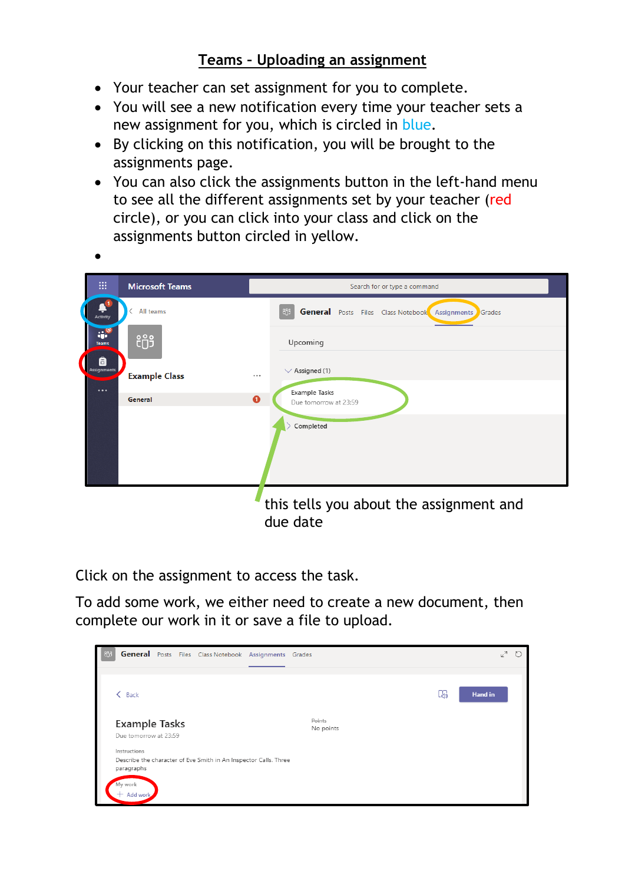## **Teams – Uploading an assignment**

- Your teacher can set assignment for you to complete.
- You will see a new notification every time your teacher sets a new assignment for you, which is circled in blue.
- By clicking on this notification, you will be brought to the assignments page.
- You can also click the assignments button in the left-hand menu to see all the different assignments set by your teacher (red circle), or you can click into your class and click on the assignments button circled in yellow.

| :::<br><b>Microsoft Teams</b>                              | Search for or type a command                                            |  |  |  |  |  |  |
|------------------------------------------------------------|-------------------------------------------------------------------------|--|--|--|--|--|--|
| All teams<br>←<br>Activity                                 | <b>General</b> Posts Files Class Notebook Assignments<br>ក្រែ<br>Grades |  |  |  |  |  |  |
| $\mathbf{u}^{\bullet}$<br>ໍຕິ <sup>3</sup><br><b>Teams</b> | Upcoming                                                                |  |  |  |  |  |  |
| Ô<br><b>Assignments</b><br><b>Example Class</b>            | $\vee$ Assigned (1)<br>                                                 |  |  |  |  |  |  |
| $\cdots$<br>General                                        | <b>Example Tasks</b><br>$\bullet$<br>Due tomorrow at 23:59              |  |  |  |  |  |  |
|                                                            | Completed                                                               |  |  |  |  |  |  |
|                                                            |                                                                         |  |  |  |  |  |  |
|                                                            |                                                                         |  |  |  |  |  |  |
|                                                            | this tells you about the assignment and<br>due date                     |  |  |  |  |  |  |

Click on the assignment to access the task.

To add some work, we either need to create a new document, then complete our work in it or save a file to upload.

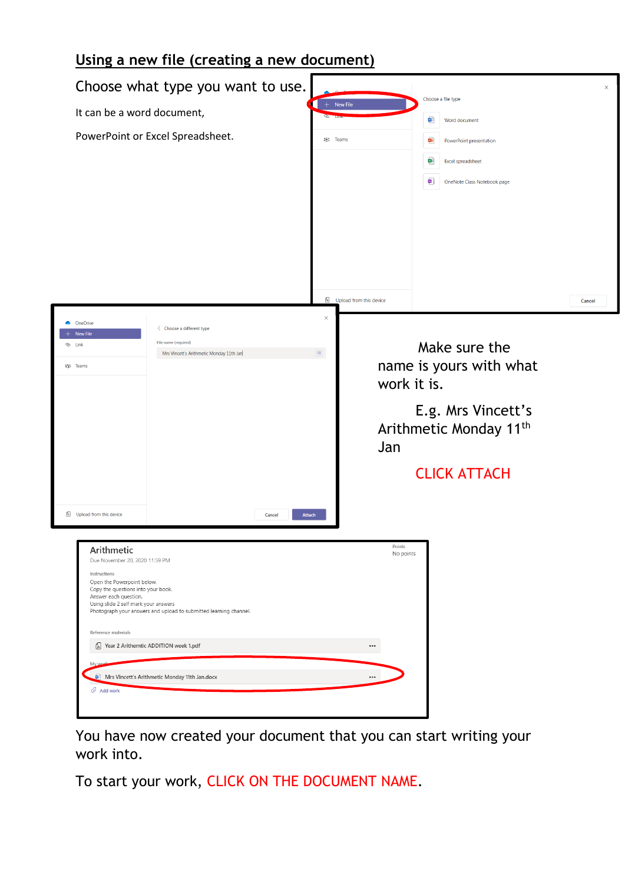## **Using a new file (creating a new document)**

| It can be a word document,                                                                                                                                                                                                                                                                                                 | Choose what type you want to use.<br>PowerPoint or Excel Spreadsheet.                                              |                         | <sup>8</sup> บิ <sup>3</sup> Teams | $+$ New File              | œ<br>tas<br>øĤ<br>回) | Choose a file type<br>Word document<br>PowerPoint presentation<br>Excel spreadsheet<br>OneNote Class Notebook page          | $\times$ |
|----------------------------------------------------------------------------------------------------------------------------------------------------------------------------------------------------------------------------------------------------------------------------------------------------------------------------|--------------------------------------------------------------------------------------------------------------------|-------------------------|------------------------------------|---------------------------|----------------------|-----------------------------------------------------------------------------------------------------------------------------|----------|
|                                                                                                                                                                                                                                                                                                                            |                                                                                                                    |                         | $\times$                           | 4 Upload from this device |                      |                                                                                                                             | Cancel   |
| OneDrive<br>۰<br>New File<br>© Link<br>อ <sub>ิ</sub> ธิ Teams                                                                                                                                                                                                                                                             | < Choose a different type<br>File name (required)<br>Mrs Vincett's Arithmetic Monday 11th Jan                      |                         | 10 <sub>1</sub>                    | Jan                       | work it is.          | Make sure the<br>name is yours with what<br>E.g. Mrs Vincett's<br>Arithmetic Monday 11 <sup>th</sup><br><b>CLICK ATTACH</b> |          |
| 4 Upload from this device<br>Arithmetic<br>Due November 20, 2020 11:59 PM<br>Instructions<br>Open the Powerpoint below.<br>Copy the questions into your book.<br>Answer each question.<br>Using slide 2 self mark your answers<br>Reference materials<br>Year 2 Arithemtic ADDITION week 1.pdf<br>My<br>$\oslash$ Add work | Photograph your answers and upload to submitted learning channel.<br>Mrs Vincett's Arithmetic Monday 11th Jan.docx | <b>Attach</b><br>Cancel |                                    | Points<br><br>$\cdots$    | No points            |                                                                                                                             |          |

You have now created your document that you can start writing your work into.

To start your work, CLICK ON THE DOCUMENT NAME.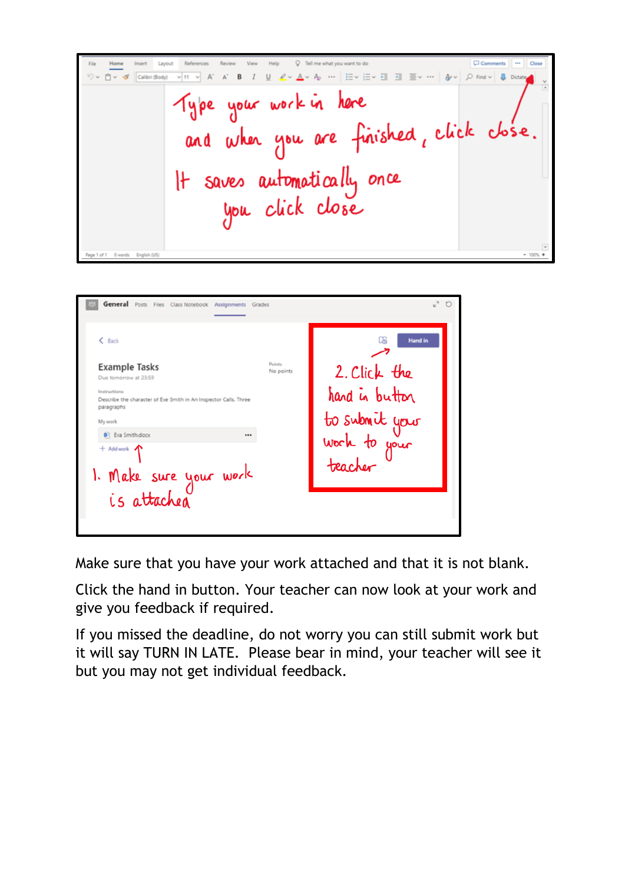C Comments O Tell me what you want to do Insert Layout Refe  $\triangledown \vee \square \vee \triangleleft \square$  Calibri (Body) Type your work in here and when you are finished, click close.<br>It saves automatically once<br>you click close

| <b>General</b> Posts Files Class Notebook<br>Assignments Grades                                                                    |                     |                                           |
|------------------------------------------------------------------------------------------------------------------------------------|---------------------|-------------------------------------------|
| $&$ Back                                                                                                                           |                     | <b>Hand in</b><br>ua                      |
| <b>Example Tasks</b>                                                                                                               | Points<br>No points | 2. Click the                              |
| Due tomorrow at 23:59<br>Instructions<br>Describe the character of Eve Smith in An Inspector Calls. Three<br>paragraphs<br>My work |                     | hand in button                            |
| <b>D</b> Eva Smith.docx<br><br>$+$ Add work $\bigwedge$<br>1. Make sure your work<br>is attached                                   |                     | to submit your<br>work to your<br>teacher |
|                                                                                                                                    |                     |                                           |

Make sure that you have your work attached and that it is not blank.

Click the hand in button. Your teacher can now look at your work and give you feedback if required.

If you missed the deadline, do not worry you can still submit work but it will say TURN IN LATE. Please bear in mind, your teacher will see it but you may not get individual feedback.